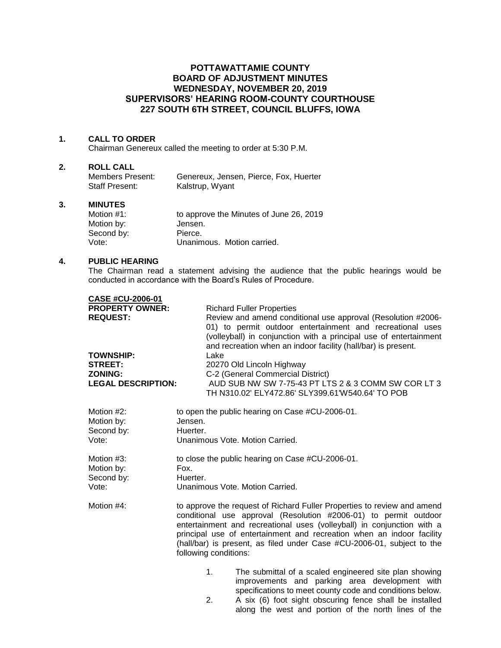# **POTTAWATTAMIE COUNTY BOARD OF ADJUSTMENT MINUTES WEDNESDAY, NOVEMBER 20, 2019 SUPERVISORS' HEARING ROOM-COUNTY COURTHOUSE 227 SOUTH 6TH STREET, COUNCIL BLUFFS, IOWA**

### **1. CALL TO ORDER**

Chairman Genereux called the meeting to order at 5:30 P.M.

#### **2. ROLL CALL**

| Members Present: | Genereux, Jensen, Pierce, Fox, Huerter |
|------------------|----------------------------------------|
| Staff Present:   | Kalstrup, Wyant                        |

#### **3. MINUTES**

| Motion #1: | to approve the Minutes of June 26, 2019 |
|------------|-----------------------------------------|
| Motion by: | Jensen.                                 |
| Second by: | Pierce.                                 |
| Vote:      | Unanimous. Motion carried.              |

### **4. PUBLIC HEARING**

The Chairman read a statement advising the audience that the public hearings would be conducted in accordance with the Board's Rules of Procedure.

| CASE #CU-2006-01          |                                                                                                                                                                                                                                                                 |
|---------------------------|-----------------------------------------------------------------------------------------------------------------------------------------------------------------------------------------------------------------------------------------------------------------|
| <b>PROPERTY OWNER:</b>    | <b>Richard Fuller Properties</b>                                                                                                                                                                                                                                |
| <b>REQUEST:</b>           | Review and amend conditional use approval (Resolution #2006-<br>01) to permit outdoor entertainment and recreational uses<br>(volleyball) in conjunction with a principal use of entertainment<br>and recreation when an indoor facility (hall/bar) is present. |
| <b>TOWNSHIP:</b>          | Lake                                                                                                                                                                                                                                                            |
| <b>STREET:</b>            | 20270 Old Lincoln Highway                                                                                                                                                                                                                                       |
| <b>ZONING:</b>            | C-2 (General Commercial District)                                                                                                                                                                                                                               |
| <b>LEGAL DESCRIPTION:</b> | AUD SUB NW SW 7-75-43 PT LTS 2 & 3 COMM SW COR LT 3                                                                                                                                                                                                             |
|                           | TH N310.02' ELY472.86' SLY399.61'W540.64' TO POB                                                                                                                                                                                                                |
|                           |                                                                                                                                                                                                                                                                 |

| Motion #2: | to open the public hearing on Case #CU-2006-01.                                                                                             |  |  |
|------------|---------------------------------------------------------------------------------------------------------------------------------------------|--|--|
| Motion by: | Jensen.                                                                                                                                     |  |  |
| Second by: | Huerter.                                                                                                                                    |  |  |
| Vote:      | Unanimous Vote, Motion Carried.                                                                                                             |  |  |
| Motion #3: | to close the public hearing on Case #CU-2006-01.                                                                                            |  |  |
| Motion by: | Fox.                                                                                                                                        |  |  |
| Second by: | Huerter.                                                                                                                                    |  |  |
| Vote:      | Unanimous Vote, Motion Carried.                                                                                                             |  |  |
| Motion #4: | to approve the request of Richard Fuller Properties to review and amend<br>conditional use approval (Desalution 40000.01) to permit outdoor |  |  |

- conditional use approval (Resolution #2006-01) to permit outdoor entertainment and recreational uses (volleyball) in conjunction with a principal use of entertainment and recreation when an indoor facility (hall/bar) is present, as filed under Case #CU-2006-01, subject to the following conditions:
	- 1. The submittal of a scaled engineered site plan showing improvements and parking area development with specifications to meet county code and conditions below.
	- 2. A six (6) foot sight obscuring fence shall be installed along the west and portion of the north lines of the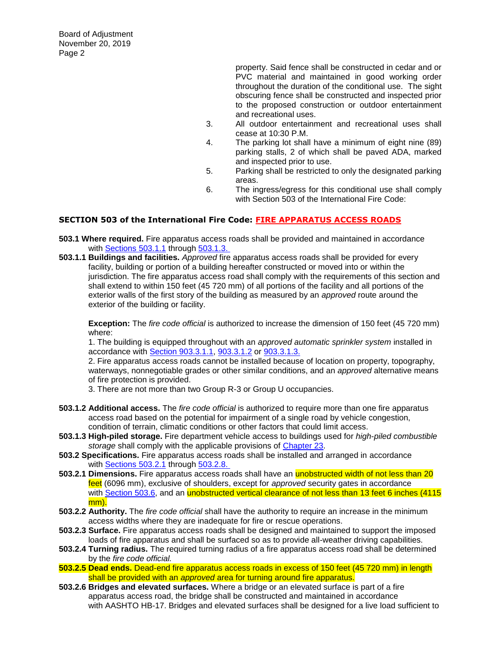Board of Adjustment November 20, 2019 Page 2

> property. Said fence shall be constructed in cedar and or PVC material and maintained in good working order throughout the duration of the conditional use. The sight obscuring fence shall be constructed and inspected prior to the proposed construction or outdoor entertainment and recreational uses.

- 3. All outdoor entertainment and recreational uses shall cease at 10:30 P.M.
- 4. The parking lot shall have a minimum of eight nine (89) parking stalls, 2 of which shall be paved ADA, marked and inspected prior to use.
- 5. Parking shall be restricted to only the designated parking areas.
- 6. The ingress/egress for this conditional use shall comply with Section 503 of the International Fire Code:

# **SECTION 503 of the International Fire Code: FIRE APPARATUS ACCESS ROADS**

- **503.1 Where required.** Fire apparatus access roads shall be provided and maintained in accordance with [Sections 503.1.1](javascript:Next() through [503.1.3.](javascript:Next()
- **503.1.1 Buildings and facilities.** *Approved* fire apparatus access roads shall be provided for every facility, building or portion of a building hereafter constructed or moved into or within the jurisdiction. The fire apparatus access road shall comply with the requirements of this section and shall extend to within 150 feet (45 720 mm) of all portions of the facility and all portions of the exterior walls of the first story of the building as measured by an *approved* route around the exterior of the building or facility.

**Exception:** The *fire code official* is authorized to increase the dimension of 150 feet (45 720 mm) where:

1. The building is equipped throughout with an *approved automatic sprinkler system* installed in accordance with [Section 903.3.1.1,](javascript:Next() [903.3.1.2](javascript:Next() or [903.3.1.3.](javascript:Next()

2. Fire apparatus access roads cannot be installed because of location on property, topography, waterways, nonnegotiable grades or other similar conditions, and an *approved* alternative means of fire protection is provided.

3. There are not more than two Group R-3 or Group U occupancies.

- **503.1.2 Additional access.** The *fire code official* is authorized to require more than one fire apparatus access road based on the potential for impairment of a single road by vehicle congestion, condition of terrain, climatic conditions or other factors that could limit access.
- **503.1.3 High-piled storage.** Fire department vehicle access to buildings used for *high-piled combustible storage* shall comply with the applicable provisions of [Chapter 23.](javascript:Next()
- **503.2 Specifications.** Fire apparatus access roads shall be installed and arranged in accordance with [Sections 503.2.1](javascript:Next() through [503.2.8.](javascript:Next()
- **503.2.1 Dimensions.** Fire apparatus access roads shall have an unobstructed width of not less than 20 feet (6096 mm), exclusive of shoulders, except for *approved* security gates in accordance with [Section 503.6,](javascript:Next() and an *unobstructed vertical clearance of not less than 13 feet 6 inches (4115* mm).
- **503.2.2 Authority.** The *fire code official* shall have the authority to require an increase in the minimum access widths where they are inadequate for fire or rescue operations.
- **503.2.3 Surface.** Fire apparatus access roads shall be designed and maintained to support the imposed loads of fire apparatus and shall be surfaced so as to provide all-weather driving capabilities.
- **503.2.4 Turning radius.** The required turning radius of a fire apparatus access road shall be determined by the *fire code official.*
- **503.2.5 Dead ends.** Dead-end fire apparatus access roads in excess of 150 feet (45 720 mm) in length shall be provided with an *approved* area for turning around fire apparatus.
- **503.2.6 Bridges and elevated surfaces.** Where a bridge or an elevated surface is part of a fire apparatus access road, the bridge shall be constructed and maintained in accordance with AASHTO HB-17. Bridges and elevated surfaces shall be designed for a live load sufficient to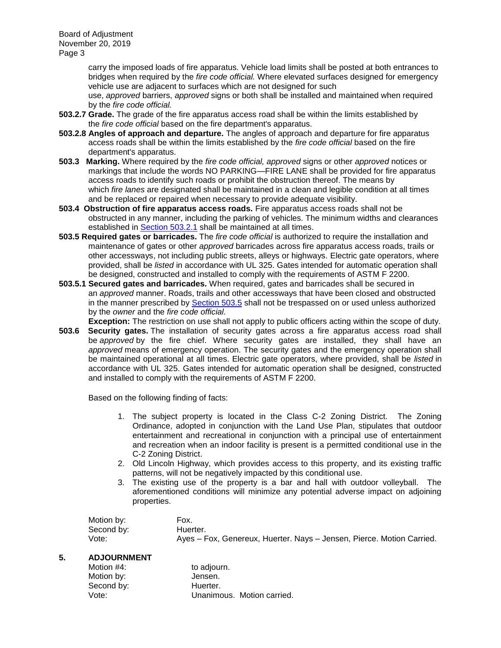Board of Adjustment November 20, 2019 Page 3

> carry the imposed loads of fire apparatus. Vehicle load limits shall be posted at both entrances to bridges when required by the *fire code official.* Where elevated surfaces designed for emergency vehicle use are adjacent to surfaces which are not designed for such

use, *approved* barriers, *approved* signs or both shall be installed and maintained when required by the *fire code official.*

- **503.2.7 Grade.** The grade of the fire apparatus access road shall be within the limits established by the *fire code official* based on the fire department's apparatus.
- **503.2.8 Angles of approach and departure.** The angles of approach and departure for fire apparatus access roads shall be within the limits established by the *fire code official* based on the fire department's apparatus.
- **503.3 Marking.** Where required by the *fire code official, approved* signs or other *approved* notices or markings that include the words NO PARKING—FIRE LANE shall be provided for fire apparatus access roads to identify such roads or prohibit the obstruction thereof. The means by which *fire lanes* are designated shall be maintained in a clean and legible condition at all times and be replaced or repaired when necessary to provide adequate visibility.
- **503.4 Obstruction of fire apparatus access roads.** Fire apparatus access roads shall not be obstructed in any manner, including the parking of vehicles. The minimum widths and clearances established in [Section 503.2.1](javascript:Next() shall be maintained at all times.
- **503.5 Required gates or barricades.** The *fire code official* is authorized to require the installation and maintenance of gates or other *approved* barricades across fire apparatus access roads, trails or other accessways, not including public streets, alleys or highways. Electric gate operators, where provided, shall be *listed* in accordance with UL 325. Gates intended for automatic operation shall be designed, constructed and installed to comply with the requirements of ASTM F 2200.
- **503.5.1 Secured gates and barricades.** When required, gates and barricades shall be secured in an *approved* manner. Roads, trails and other accessways that have been closed and obstructed in the manner prescribed by [Section 503.5](javascript:Next() shall not be trespassed on or used unless authorized by the *owner* and the *fire code official.*
- **Exception:** The restriction on use shall not apply to public officers acting within the scope of duty.
- **503.6 Security gates.** The installation of security gates across a fire apparatus access road shall be *approved* by the fire chief. Where security gates are installed, they shall have an *approved* means of emergency operation. The security gates and the emergency operation shall be maintained operational at all times. Electric gate operators, where provided, shall be *listed* in accordance with UL 325. Gates intended for automatic operation shall be designed, constructed and installed to comply with the requirements of ASTM F 2200.

Based on the following finding of facts:

- 1. The subject property is located in the Class C-2 Zoning District. The Zoning Ordinance, adopted in conjunction with the Land Use Plan, stipulates that outdoor entertainment and recreational in conjunction with a principal use of entertainment and recreation when an indoor facility is present is a permitted conditional use in the C-2 Zoning District.
- 2. Old Lincoln Highway, which provides access to this property, and its existing traffic patterns, will not be negatively impacted by this conditional use.
- 3. The existing use of the property is a bar and hall with outdoor volleyball. The aforementioned conditions will minimize any potential adverse impact on adjoining properties.

| Motion by: | Fox.                                                                  |
|------------|-----------------------------------------------------------------------|
| Second by: | Huerter.                                                              |
| Vote:      | Ayes - Fox, Genereux, Huerter. Nays - Jensen, Pierce. Motion Carried. |

## **5. ADJOURNMENT**

| Motion #4: | to adjourn.                |
|------------|----------------------------|
| Motion by: | Jensen.                    |
| Second by: | Huerter.                   |
| Vote:      | Unanimous. Motion carried. |